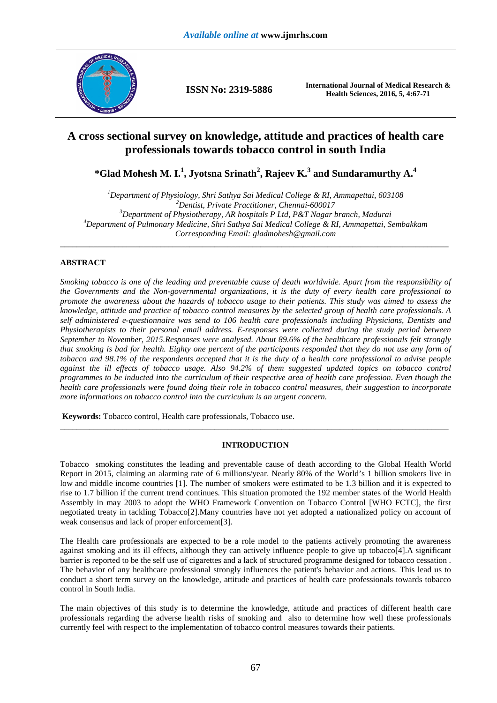

**ISSN No: 2319-5886 International Journal of Medical Research & Health Sciences, 2016, 5, 4:67-71** 

# **A cross sectional survey on knowledge, attitude and practices of health care professionals towards tobacco control in south India**

**\*Glad Mohesh M. I.<sup>1</sup> , Jyotsna Srinath<sup>2</sup> , Rajeev K.<sup>3</sup> and Sundaramurthy A.<sup>4</sup>**

*Department of Physiology, Shri Sathya Sai Medical College & RI, Ammapettai, 603108 Dentist, Private Practitioner, Chennai-600017 Department of Physiotherapy, AR hospitals P Ltd, P&T Nagar branch, Madurai Department of Pulmonary Medicine, Shri Sathya Sai Medical College & RI, Ammapettai, Sembakkam Corresponding Email: gladmohesh@gmail.com*  \_\_\_\_\_\_\_\_\_\_\_\_\_\_\_\_\_\_\_\_\_\_\_\_\_\_\_\_\_\_\_\_\_\_\_\_\_\_\_\_\_\_\_\_\_\_\_\_\_\_\_\_\_\_\_\_\_\_\_\_\_\_\_\_\_\_\_\_\_\_\_\_\_\_\_\_\_\_\_\_\_\_\_\_\_\_\_\_\_\_\_\_\_

# **ABSTRACT**

*Smoking tobacco is one of the leading and preventable cause of death worldwide. Apart from the responsibility of the Governments and the Non-governmental organizations, it is the duty of every health care professional to promote the awareness about the hazards of tobacco usage to their patients. This study was aimed to assess the knowledge, attitude and practice of tobacco control measures by the selected group of health care professionals. A self administered e-questionnaire was send to 106 health care professionals including Physicians, Dentists and Physiotherapists to their personal email address. E-responses were collected during the study period between September to November, 2015.Responses were analysed. About 89.6% of the healthcare professionals felt strongly that smoking is bad for health. Eighty one percent of the participants responded that they do not use any form of tobacco and 98.1% of the respondents accepted that it is the duty of a health care professional to advise people against the ill effects of tobacco usage. Also 94.2% of them suggested updated topics on tobacco control programmes to be inducted into the curriculum of their respective area of health care profession. Even though the health care professionals were found doing their role in tobacco control measures, their suggestion to incorporate more informations on tobacco control into the curriculum is an urgent concern.* 

 **Keywords:** Tobacco control, Health care professionals, Tobacco use.

## **INTRODUCTION**

\_\_\_\_\_\_\_\_\_\_\_\_\_\_\_\_\_\_\_\_\_\_\_\_\_\_\_\_\_\_\_\_\_\_\_\_\_\_\_\_\_\_\_\_\_\_\_\_\_\_\_\_\_\_\_\_\_\_\_\_\_\_\_\_\_\_\_\_\_\_\_\_\_\_\_\_\_\_\_\_\_\_\_\_\_\_\_\_\_\_\_\_\_

Tobacco smoking constitutes the leading and preventable cause of death according to the Global Health World Report in 2015, claiming an alarming rate of 6 millions/year. Nearly 80% of the World's 1 billion smokers live in low and middle income countries [1]. The number of smokers were estimated to be 1.3 billion and it is expected to rise to 1.7 billion if the current trend continues. This situation promoted the 192 member states of the World Health Assembly in may 2003 to adopt the WHO Framework Convention on Tobacco Control [WHO FCTC], the first negotiated treaty in tackling Tobacco[2].Many countries have not yet adopted a nationalized policy on account of weak consensus and lack of proper enforcement[3].

The Health care professionals are expected to be a role model to the patients actively promoting the awareness against smoking and its ill effects, although they can actively influence people to give up tobacco[4].A significant barrier is reported to be the self use of cigarettes and a lack of structured programme designed for tobacco cessation . The behavior of any healthcare professional strongly influences the patient's behavior and actions. This lead us to conduct a short term survey on the knowledge, attitude and practices of health care professionals towards tobacco control in South India.

The main objectives of this study is to determine the knowledge, attitude and practices of different health care professionals regarding the adverse health risks of smoking and also to determine how well these professionals currently feel with respect to the implementation of tobacco control measures towards their patients.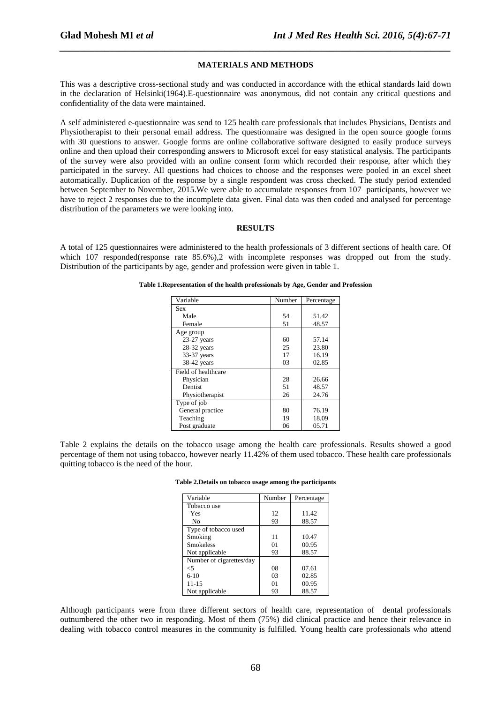### **MATERIALS AND METHODS**

*\_\_\_\_\_\_\_\_\_\_\_\_\_\_\_\_\_\_\_\_\_\_\_\_\_\_\_\_\_\_\_\_\_\_\_\_\_\_\_\_\_\_\_\_\_\_\_\_\_\_\_\_\_\_\_\_\_\_\_\_\_\_\_\_\_\_\_\_\_\_\_\_\_\_\_\_\_\_*

This was a descriptive cross-sectional study and was conducted in accordance with the ethical standards laid down in the declaration of Helsinki(1964).E-questionnaire was anonymous, did not contain any critical questions and confidentiality of the data were maintained.

A self administered e-questionnaire was send to 125 health care professionals that includes Physicians, Dentists and Physiotherapist to their personal email address. The questionnaire was designed in the open source google forms with 30 questions to answer. Google forms are online collaborative software designed to easily produce surveys online and then upload their corresponding answers to Microsoft excel for easy statistical analysis. The participants of the survey were also provided with an online consent form which recorded their response, after which they participated in the survey. All questions had choices to choose and the responses were pooled in an excel sheet automatically. Duplication of the response by a single respondent was cross checked. The study period extended between September to November, 2015.We were able to accumulate responses from 107 participants, however we have to reject 2 responses due to the incomplete data given. Final data was then coded and analysed for percentage distribution of the parameters we were looking into.

### **RESULTS**

A total of 125 questionnaires were administered to the health professionals of 3 different sections of health care. Of which 107 responded(response rate 85.6%), 2 with incomplete responses was dropped out from the study. Distribution of the participants by age, gender and profession were given in table 1.

| Variable            | Number | Percentage |
|---------------------|--------|------------|
| <b>Sex</b>          |        |            |
| Male                | 54     | 51.42      |
| Female              | 51     | 48.57      |
| Age group           |        |            |
| $23-27$ years       | 60     | 57.14      |
| $28-32$ years       | 25     | 23.80      |
| 33-37 years         | 17     | 16.19      |
| 38-42 years         | 03     | 02.85      |
| Field of healthcare |        |            |
| Physician           | 28     | 26.66      |
| Dentist             | 51     | 48.57      |
| Physiotherapist     | 26     | 24.76      |
| Type of job         |        |            |
| General practice    | 80     | 76.19      |
| Teaching            | 19     | 18.09      |
| Post graduate       | 06     | 05.71      |

**Table 1.Representation of the health professionals by Age, Gender and Profession** 

Table 2 explains the details on the tobacco usage among the health care professionals. Results showed a good percentage of them not using tobacco, however nearly 11.42% of them used tobacco. These health care professionals quitting tobacco is the need of the hour.

| Variable                 | Number | Percentage |
|--------------------------|--------|------------|
| Tobacco use              |        |            |
| Yes                      | 12     | 11.42      |
| No                       | 93     | 88.57      |
| Type of tobacco used     |        |            |
| Smoking                  | 11     | 10.47      |
| <b>Smokeless</b>         | 01     | 00.95      |
| Not applicable           | 93     | 88.57      |
| Number of cigarettes/day |        |            |
| <5                       | 08     | 07.61      |
| $6-10$                   | 03     | 02.85      |
| $11 - 15$                | 01     | 00.95      |
| Not applicable           | 93     | 88.57      |

**Table 2.Details on tobacco usage among the participants** 

Although participants were from three different sectors of health care, representation of dental professionals outnumbered the other two in responding. Most of them (75%) did clinical practice and hence their relevance in dealing with tobacco control measures in the community is fulfilled. Young health care professionals who attend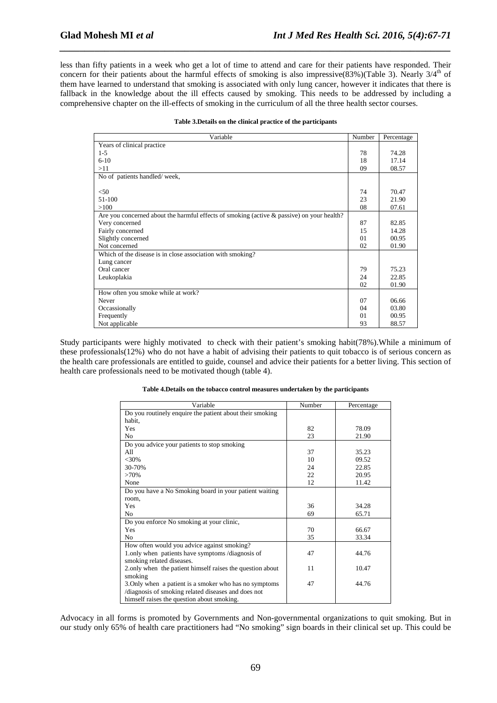less than fifty patients in a week who get a lot of time to attend and care for their patients have responded. Their concern for their patients about the harmful effects of smoking is also impressive(83%)(Table 3). Nearly  $3/4<sup>th</sup>$  of them have learned to understand that smoking is associated with only lung cancer, however it indicates that there is fallback in the knowledge about the ill effects caused by smoking. This needs to be addressed by including a comprehensive chapter on the ill-effects of smoking in the curriculum of all the three health sector courses.

*\_\_\_\_\_\_\_\_\_\_\_\_\_\_\_\_\_\_\_\_\_\_\_\_\_\_\_\_\_\_\_\_\_\_\_\_\_\_\_\_\_\_\_\_\_\_\_\_\_\_\_\_\_\_\_\_\_\_\_\_\_\_\_\_\_\_\_\_\_\_\_\_\_\_\_\_\_\_*

| Variable                                                                                     | Number | Percentage |
|----------------------------------------------------------------------------------------------|--------|------------|
| Years of clinical practice                                                                   |        |            |
| $1 - 5$                                                                                      | 78     | 74.28      |
| $6-10$                                                                                       | 18     | 17.14      |
| >11                                                                                          | 09     | 08.57      |
| No of patients handled/week,                                                                 |        |            |
|                                                                                              |        |            |
| < 50                                                                                         | 74     | 70.47      |
| 51-100                                                                                       | 23     | 21.90      |
| >100                                                                                         | 08     | 07.61      |
| Are you concerned about the harmful effects of smoking (active $\&$ passive) on your health? |        |            |
| Very concerned                                                                               | 87     | 82.85      |
| Fairly concerned                                                                             | 15     | 14.28      |
| Slightly concerned                                                                           | 01     | 00.95      |
| Not concerned                                                                                | 02     | 01.90      |
| Which of the disease is in close association with smoking?                                   |        |            |
| Lung cancer                                                                                  |        |            |
| Oral cancer                                                                                  | 79     | 75.23      |
| Leukoplakia                                                                                  | 24     | 22.85      |
|                                                                                              | 02     | 01.90      |
| How often you smoke while at work?                                                           |        |            |
| Never                                                                                        | 07     | 06.66      |
| Occassionally                                                                                | 04     | 03.80      |
| Frequently                                                                                   | 01     | 00.95      |
| Not applicable                                                                               | 93     | 88.57      |

Study participants were highly motivated to check with their patient's smoking habit(78%).While a minimum of these professionals(12%) who do not have a habit of advising their patients to quit tobacco is of serious concern as the health care professionals are entitled to guide, counsel and advice their patients for a better living. This section of health care professionals need to be motivated though (table 4).

|  | Table 4. Details on the tobacco control measures undertaken by the participants |  |
|--|---------------------------------------------------------------------------------|--|
|  |                                                                                 |  |

| Variable                                                   | Number | Percentage |
|------------------------------------------------------------|--------|------------|
| Do you routinely enquire the patient about their smoking   |        |            |
| habit.                                                     |        |            |
| Yes                                                        | 82     | 78.09      |
| N <sub>0</sub>                                             | 23     | 21.90      |
| Do you advice your patients to stop smoking                |        |            |
| A11                                                        | 37     | 35.23      |
| $<$ 30%                                                    | 10     | 09.52      |
| 30-70%                                                     | 24     | 22.85      |
| >70%                                                       | 22     | 20.95      |
| None                                                       | 12     | 11.42      |
| Do you have a No Smoking board in your patient waiting     |        |            |
| room,                                                      |        |            |
| Yes                                                        | 36     | 34.28      |
| No                                                         | 69     | 65.71      |
| Do you enforce No smoking at your clinic,                  |        |            |
| Yes                                                        | 70     | 66.67      |
| N <sub>0</sub>                                             | 35     | 33.34      |
| How often would you advice against smoking?                |        |            |
| 1.only when patients have symptoms/diagnosis of            | 47     | 44.76      |
| smoking related diseases.                                  |        |            |
| 2. only when the patient himself raises the question about | 11     | 10.47      |
| smoking                                                    |        |            |
| 3. Only when a patient is a smoker who has no symptoms     | 47     | 44.76      |
| /diagnosis of smoking related diseases and does not        |        |            |
| himself raises the question about smoking.                 |        |            |

Advocacy in all forms is promoted by Governments and Non-governmental organizations to quit smoking. But in our study only 65% of health care practitioners had "No smoking" sign boards in their clinical set up. This could be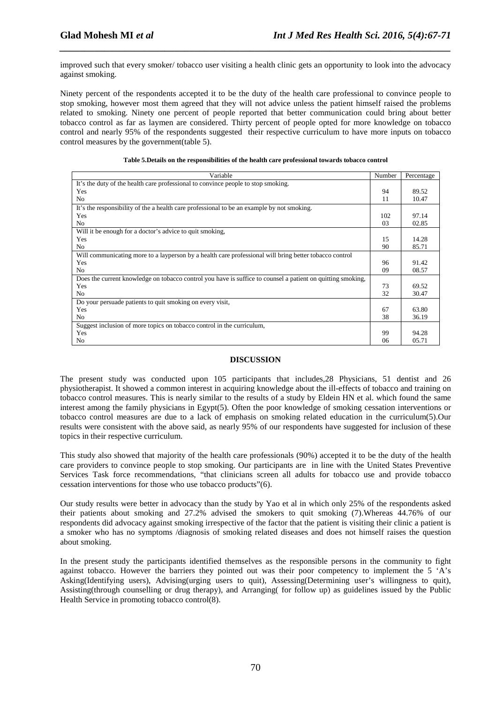improved such that every smoker/ tobacco user visiting a health clinic gets an opportunity to look into the advocacy against smoking.

*\_\_\_\_\_\_\_\_\_\_\_\_\_\_\_\_\_\_\_\_\_\_\_\_\_\_\_\_\_\_\_\_\_\_\_\_\_\_\_\_\_\_\_\_\_\_\_\_\_\_\_\_\_\_\_\_\_\_\_\_\_\_\_\_\_\_\_\_\_\_\_\_\_\_\_\_\_\_*

Ninety percent of the respondents accepted it to be the duty of the health care professional to convince people to stop smoking, however most them agreed that they will not advice unless the patient himself raised the problems related to smoking. Ninety one percent of people reported that better communication could bring about better tobacco control as far as laymen are considered. Thirty percent of people opted for more knowledge on tobacco control and nearly 95% of the respondents suggested their respective curriculum to have more inputs on tobacco control measures by the government(table 5).

| Variable                                                                                                    | Number | Percentage |
|-------------------------------------------------------------------------------------------------------------|--------|------------|
| It's the duty of the health care professional to convince people to stop smoking.                           |        |            |
| Yes                                                                                                         | 94     | 89.52      |
| No.                                                                                                         | 11     | 10.47      |
| It's the responsibility of the a health care professional to be an example by not smoking.                  |        |            |
| Yes                                                                                                         | 102    | 97.14      |
| No.                                                                                                         | 03     | 02.85      |
| Will it be enough for a doctor's advice to quit smoking,                                                    |        |            |
| Yes                                                                                                         | 15     | 14.28      |
| No.                                                                                                         | 90     | 85.71      |
| Will communicating more to a layperson by a health care professional will bring better tobacco control      |        |            |
| Yes                                                                                                         | 96     | 91.42      |
| No.                                                                                                         | 09     | 08.57      |
| Does the current knowledge on tobacco control you have is suffice to counsel a patient on quitting smoking, |        |            |
| Yes                                                                                                         | 73     | 69.52      |
| No.                                                                                                         | 32     | 30.47      |
| Do your persuade patients to quit smoking on every visit,                                                   |        |            |
| Yes                                                                                                         | 67     | 63.80      |
| No.                                                                                                         | 38     | 36.19      |
| Suggest inclusion of more topics on tobacco control in the curriculum,                                      |        |            |
| Yes                                                                                                         | 99     | 94.28      |
| No                                                                                                          | 06     | 05.71      |

#### **Table 5.Details on the responsibilities of the health care professional towards tobacco control**

## **DISCUSSION**

The present study was conducted upon 105 participants that includes,28 Physicians, 51 dentist and 26 physiotherapist. It showed a common interest in acquiring knowledge about the ill-effects of tobacco and training on tobacco control measures. This is nearly similar to the results of a study by Eldein HN et al. which found the same interest among the family physicians in Egypt(5). Often the poor knowledge of smoking cessation interventions or tobacco control measures are due to a lack of emphasis on smoking related education in the curriculum(5).Our results were consistent with the above said, as nearly 95% of our respondents have suggested for inclusion of these topics in their respective curriculum.

This study also showed that majority of the health care professionals (90%) accepted it to be the duty of the health care providers to convince people to stop smoking. Our participants are in line with the United States Preventive Services Task force recommendations, "that clinicians screen all adults for tobacco use and provide tobacco cessation interventions for those who use tobacco products"(6).

Our study results were better in advocacy than the study by Yao et al in which only 25% of the respondents asked their patients about smoking and 27.2% advised the smokers to quit smoking (7).Whereas 44.76% of our respondents did advocacy against smoking irrespective of the factor that the patient is visiting their clinic a patient is a smoker who has no symptoms /diagnosis of smoking related diseases and does not himself raises the question about smoking.

In the present study the participants identified themselves as the responsible persons in the community to fight against tobacco. However the barriers they pointed out was their poor competency to implement the 5 'A's Asking(Identifying users), Advising(urging users to quit), Assessing(Determining user's willingness to quit), Assisting(through counselling or drug therapy), and Arranging( for follow up) as guidelines issued by the Public Health Service in promoting tobacco control(8).